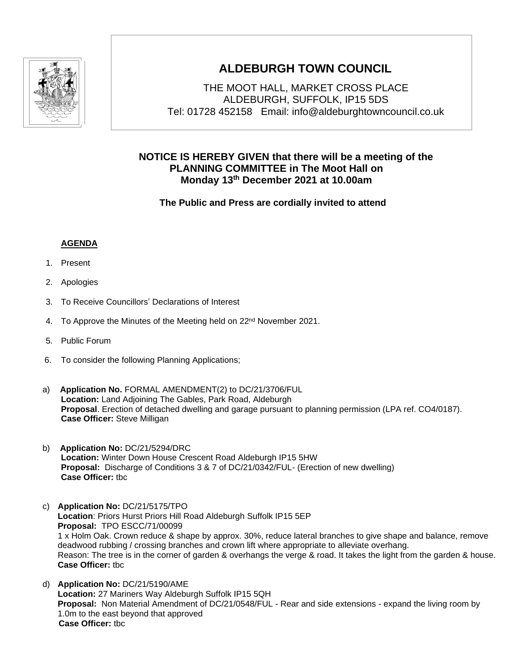

## **ALDEBURGH TOWN COUNCIL**

THE MOOT HALL, MARKET CROSS PLACE ALDEBURGH, SUFFOLK, IP15 5DS Tel: 01728 452158 Email: info@aldeburghtowncouncil.co.uk

## **NOTICE IS HEREBY GIVEN that there will be a meeting of the PLANNING COMMITTEE in The Moot Hall on Monday 13th December 2021 at 10.00am**

 **The Public and Press are cordially invited to attend**

## **AGENDA**

- 1. Present
- 2. Apologies
- 3. To Receive Councillors' Declarations of Interest
- 4. To Approve the Minutes of the Meeting held on 22<sup>nd</sup> November 2021.
- 5. Public Forum
- 6. To consider the following Planning Applications;
- a) **Application No.** FORMAL AMENDMENT(2) to DC/21/3706/FUL **Location:** Land Adjoining The Gables, Park Road, Aldeburgh **Proposal**. Erection of detached dwelling and garage pursuant to planning permission (LPA ref. CO4/0187). **Case Officer:** Steve Milligan
- b) **Application No:** DC/21/5294/DRC **Location:** Winter Down House Crescent Road Aldeburgh IP15 5HW **Proposal:** Discharge of Conditions 3 & 7 of DC/21/0342/FUL- (Erection of new dwelling) **Case Officer:** tbc
- c) **Application No:** DC/21/5175/TPO **Location**: Priors Hurst Priors Hill Road Aldeburgh Suffolk IP15 5EP **Proposal:** TPO ESCC/71/00099 1 x Holm Oak. Crown reduce & shape by approx. 30%, reduce lateral branches to give shape and balance, remove deadwood rubbing / crossing branches and crown lift where appropriate to alleviate overhang. Reason: The tree is in the corner of garden & overhangs the verge & road. It takes the light from the garden & house. **Case Officer:** tbc
- d) **Application No:** DC/21/5190/AME **Location:** 27 Mariners Way Aldeburgh Suffolk IP15 5QH **Proposal:** Non Material Amendment of DC/21/0548/FUL - Rear and side extensions - expand the living room by 1.0m to the east beyond that approved **Case Officer:** tbc